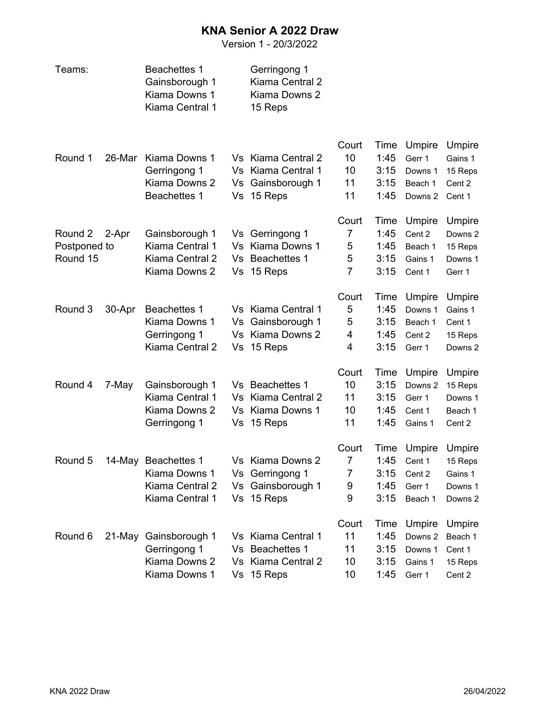## **KNA Senior A 2022 Draw**

Version 1 - 20/3/2022

| Teams:       |        | <b>Beachettes 1</b><br>Gainsborough 1<br>Kiama Downs 1<br>Kiama Central 1 |    | Gerringong 1<br>Kiama Central 2<br>Kiama Downs 2<br>15 Reps |                |              |                    |                    |
|--------------|--------|---------------------------------------------------------------------------|----|-------------------------------------------------------------|----------------|--------------|--------------------|--------------------|
|              |        |                                                                           |    |                                                             | Court          | Time         | Umpire             | Umpire             |
| Round 1      | 26-Mar | Kiama Downs 1                                                             |    | Vs Kiama Central 2                                          | 10             | 1:45         | Gerr 1             | Gains 1            |
|              |        | Gerringong 1<br>Kiama Downs 2                                             | Vs | Vs Kiama Central 1<br>Gainsborough 1                        | 10<br>11       | 3:15<br>3:15 | Downs 1<br>Beach 1 | 15 Reps<br>Cent 2  |
|              |        | <b>Beachettes 1</b>                                                       | Vs | 15 Reps                                                     | 11             | 1:45         | Downs 2            | Cent 1             |
|              |        |                                                                           |    |                                                             | Court          | Time         | Umpire             | Umpire             |
| Round 2      | 2-Apr  | Gainsborough 1                                                            |    | Vs Gerringong 1                                             | 7              | 1:45         | Cent 2             | Downs <sub>2</sub> |
| Postponed to |        | Kiama Central 1                                                           | Vs | Kiama Downs 1                                               | 5              | 1:45         | Beach 1            | 15 Reps            |
| Round 15     |        | Kiama Central 2                                                           | Vs | <b>Beachettes 1</b>                                         | 5              | 3:15         | Gains 1            | Downs 1            |
|              |        | Kiama Downs 2                                                             | Vs | 15 Reps                                                     | $\overline{7}$ | 3:15         | Cent 1             | Gerr 1             |
|              |        |                                                                           |    |                                                             | Court          | Time         | Umpire             | Umpire             |
| Round 3      | 30-Apr | <b>Beachettes 1</b>                                                       |    | Vs Kiama Central 1                                          | 5              | 1:45         | Downs 1            | Gains 1            |
|              |        | Kiama Downs 1                                                             |    | Vs Gainsborough 1                                           | 5              | 3:15         | Beach 1            | Cent 1             |
|              |        | Gerringong 1                                                              | Vs | Kiama Downs 2                                               | 4              | 1:45         | Cent 2             | 15 Reps            |
|              |        | Kiama Central 2                                                           | Vs | 15 Reps                                                     | 4              | 3:15         | Gerr 1             | Downs 2            |
|              |        |                                                                           |    |                                                             | Court          | Time         | Umpire             | Umpire             |
| Round 4      | 7-May  | Gainsborough 1                                                            |    | Vs Beachettes 1                                             | 10             | 3:15         | Downs <sub>2</sub> | 15 Reps            |
|              |        | Kiama Central 1                                                           | Vs | Kiama Central 2                                             | 11             | 3:15         | Gerr 1             | Downs 1            |
|              |        | Kiama Downs 2                                                             |    | Vs Kiama Downs 1                                            | 10             | 1:45         | Cent 1             | Beach 1            |
|              |        | Gerringong 1                                                              | Vs | 15 Reps                                                     | 11             | 1:45         | Gains 1            | Cent 2             |
|              |        |                                                                           |    |                                                             | Court          | Time         | Umpire             | Umpire             |
| Round 5      |        | 14-May Beachettes 1                                                       |    | Vs Kiama Downs 2                                            | 7              | 1:45         | Cent 1             | 15 Reps            |
|              |        | Kiama Downs 1                                                             |    | Vs Gerringong 1                                             | 7              | 3:15         | Cent 2             | Gains 1            |
|              |        | Kiama Central 2                                                           |    | Vs Gainsborough 1                                           | 9              | 1:45         | Gerr 1             | Downs 1            |
|              |        | Kiama Central 1                                                           |    | Vs 15 Reps                                                  | 9              | 3:15         | Beach 1            | Downs 2            |
|              |        |                                                                           |    |                                                             | Court          | Time         | Umpire             | Umpire             |
| Round 6      | 21-May | Gainsborough 1                                                            |    | Vs Kiama Central 1                                          | 11             | 1:45         | Downs 2            | Beach 1            |
|              |        | Gerringong 1                                                              |    | Vs Beachettes 1                                             | 11             | 3:15         | Downs 1            | Cent 1             |
|              |        | Kiama Downs 2                                                             |    | Vs Kiama Central 2                                          | 10             | 3:15         | Gains 1            | 15 Reps            |
|              |        | Kiama Downs 1                                                             |    | Vs 15 Reps                                                  | 10             | 1:45         | Gerr 1             | Cent 2             |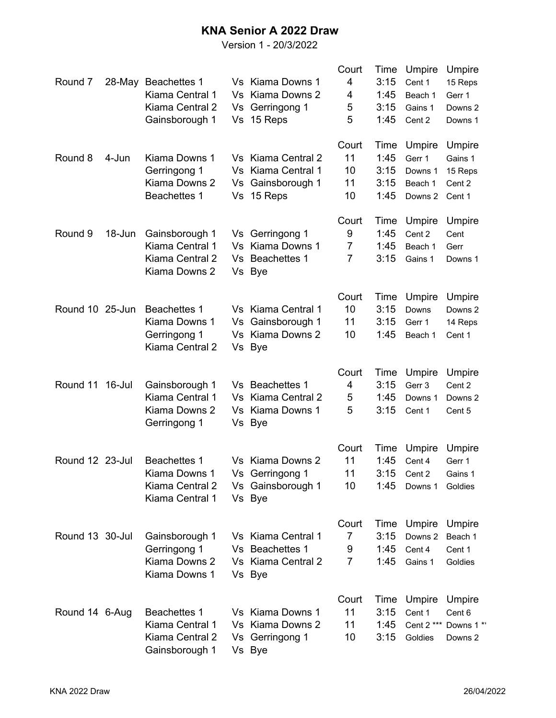## **KNA Senior A 2022 Draw**

Version 1 - 20/3/2022

| Round 7         |        | 28-May Beachettes 1<br>Kiama Central 1<br>Kiama Central 2 | Vs  | Vs Kiama Downs 1<br>Vs Kiama Downs 2<br>Gerringong 1 | Court<br>4<br>4<br>5 | Time<br>3:15<br>1:45<br>3:15 | Umpire<br>Cent 1<br>Beach 1<br>Gains 1 | Umpire<br>15 Reps<br>Gerr 1<br>Downs 2 |
|-----------------|--------|-----------------------------------------------------------|-----|------------------------------------------------------|----------------------|------------------------------|----------------------------------------|----------------------------------------|
|                 |        | Gainsborough 1                                            | Vs  | 15 Reps                                              | 5                    | 1:45                         | Cent 2                                 | Downs 1                                |
| Round 8         | 4-Jun  | Kiama Downs 1                                             |     | Vs Kiama Central 2                                   | Court<br>11          | Time<br>1:45                 | Umpire<br>Gerr 1                       | Umpire<br>Gains 1                      |
|                 |        | Gerringong 1                                              |     | Vs Kiama Central 1                                   | 10                   | 3:15                         | Downs 1                                | 15 Reps                                |
|                 |        | Kiama Downs 2                                             | Vs  | Gainsborough 1                                       | 11                   | 3:15                         | Beach 1                                | Cent 2                                 |
|                 |        | <b>Beachettes 1</b>                                       | Vs  | 15 Reps                                              | 10                   | 1:45                         | Downs 2                                | Cent 1                                 |
|                 |        |                                                           |     |                                                      | Court                | Time                         | Umpire                                 | Umpire                                 |
| Round 9         | 18-Jun | Gainsborough 1                                            |     | Vs Gerringong 1                                      | 9                    | 1:45                         | Cent 2                                 | Cent                                   |
|                 |        | Kiama Central 1                                           | Vs  | Kiama Downs 1                                        | $\overline{7}$       | 1:45                         | Beach 1                                | Gerr                                   |
|                 |        | Kiama Central 2<br>Kiama Downs 2                          |     | Vs Beachettes 1<br>Vs Bye                            | $\overline{7}$       | 3:15                         | Gains 1                                | Downs 1                                |
|                 |        |                                                           |     |                                                      | Court                | Time                         | Umpire                                 | Umpire                                 |
| Round 10 25-Jun |        | <b>Beachettes 1</b>                                       |     | Vs Kiama Central 1                                   | 10                   | 3:15                         | Downs                                  | Downs <sub>2</sub>                     |
|                 |        | Kiama Downs 1                                             | Vs  | Gainsborough 1                                       | 11                   | 3:15                         | Gerr 1                                 | 14 Reps                                |
|                 |        | Gerringong 1<br>Kiama Central 2                           | Vs  | Kiama Downs 2<br>Vs Bye                              | 10                   | 1:45                         | Beach 1                                | Cent 1                                 |
|                 |        |                                                           |     |                                                      | Court                | Time                         | Umpire                                 | Umpire                                 |
| Round 11        | 16-Jul | Gainsborough 1                                            |     | Vs Beachettes 1                                      | 4                    | 3:15                         | Gerr 3                                 | Cent 2                                 |
|                 |        | Kiama Central 1                                           | Vs. | Kiama Central 2                                      | 5                    | 1:45                         | Downs 1                                | Downs 2                                |
|                 |        | Kiama Downs 2<br>Gerringong 1                             |     | Vs Kiama Downs 1<br>Vs Bye                           | 5                    | 3:15                         | Cent 1                                 | Cent 5                                 |
|                 |        |                                                           |     |                                                      | Court                | Time                         | Umpire                                 | Umpire                                 |
| Round 12 23-Jul |        | <b>Beachettes 1</b>                                       |     | Vs Kiama Downs 2                                     | 11                   | 1:45                         | Cent 4                                 | Gerr 1                                 |
|                 |        | Kiama Downs 1                                             |     | Vs Gerringong 1                                      | 11                   | 3:15                         | Cent 2                                 | Gains 1                                |
|                 |        | Kiama Central 2<br>Kiama Central 1                        |     | Vs Gainsborough 1<br>Vs Bye                          | 10                   | 1:45                         | Downs 1                                | Goldies                                |
|                 |        |                                                           |     |                                                      | Court                |                              | Time Umpire                            | Umpire                                 |
| Round 13 30-Jul |        | Gainsborough 1                                            |     | Vs Kiama Central 1                                   | 7                    | 3:15                         | Downs <sub>2</sub>                     | Beach 1                                |
|                 |        | Gerringong 1                                              |     | Vs Beachettes 1                                      | 9                    | 1:45                         | Cent 4                                 | Cent 1                                 |
|                 |        | Kiama Downs 2<br>Kiama Downs 1                            |     | Vs Kiama Central 2<br>Vs Bye                         | $\overline{7}$       | 1:45                         | Gains 1                                | Goldies                                |
|                 |        |                                                           |     |                                                      | Court                | Time                         | Umpire                                 | Umpire                                 |
| Round 14 6-Aug  |        | <b>Beachettes 1</b>                                       |     | Vs Kiama Downs 1                                     | 11                   | 3:15                         | Cent 1                                 | Cent 6                                 |
|                 |        | Kiama Central 1<br>Kiama Central 2<br>Gainsborough 1      |     | Vs Kiama Downs 2<br>Vs Gerringong 1<br>Vs Bye        | 11<br>10             | 1:45<br>3:15                 | Cent 2 ***<br>Goldies                  | Downs 1**<br>Downs 2                   |